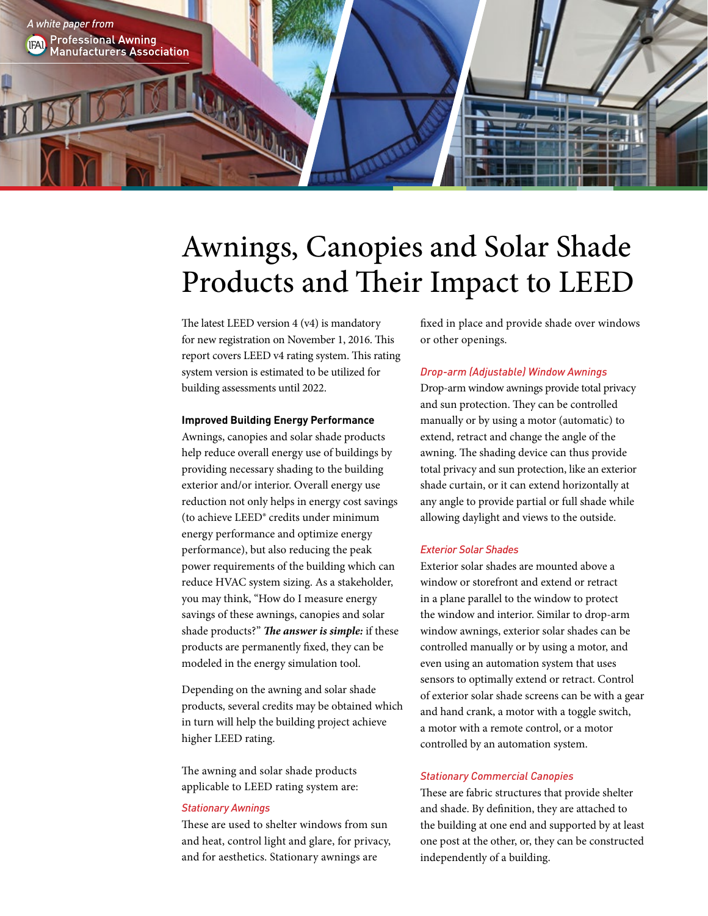

# Awnings, Canopies and Solar Shade Products and Their Impact to LEED

The latest LEED version 4 (v4) is mandatory for new registration on November 1, 2016. This report covers LEED v4 rating system. This rating system version is estimated to be utilized for building assessments until 2022.

# **Improved Building Energy Performance**

Awnings, canopies and solar shade products help reduce overall energy use of buildings by providing necessary shading to the building exterior and/or interior. Overall energy use reduction not only helps in energy cost savings (to achieve LEED® credits under minimum energy performance and optimize energy performance), but also reducing the peak power requirements of the building which can reduce HVAC system sizing. As a stakeholder, you may think, "How do I measure energy savings of these awnings, canopies and solar shade products?" *The answer is simple:* if these products are permanently fixed, they can be modeled in the energy simulation tool.

Depending on the awning and solar shade products, several credits may be obtained which in turn will help the building project achieve higher LEED rating.

The awning and solar shade products applicable to LEED rating system are:

## *Stationary Awnings*

These are used to shelter windows from sun and heat, control light and glare, for privacy, and for aesthetics. Stationary awnings are

fixed in place and provide shade over windows or other openings.

### *Drop-arm (Adjustable) Window Awnings*

Drop-arm window awnings provide total privacy and sun protection. They can be controlled manually or by using a motor (automatic) to extend, retract and change the angle of the awning. The shading device can thus provide total privacy and sun protection, like an exterior shade curtain, or it can extend horizontally at any angle to provide partial or full shade while allowing daylight and views to the outside.

#### *Exterior Solar Shades*

Exterior solar shades are mounted above a window or storefront and extend or retract in a plane parallel to the window to protect the window and interior. Similar to drop-arm window awnings, exterior solar shades can be controlled manually or by using a motor, and even using an automation system that uses sensors to optimally extend or retract. Control of exterior solar shade screens can be with a gear and hand crank, a motor with a toggle switch, a motor with a remote control, or a motor controlled by an automation system.

#### *Stationary Commercial Canopies*

These are fabric structures that provide shelter and shade. By definition, they are attached to the building at one end and supported by at least one post at the other, or, they can be constructed independently of a building.